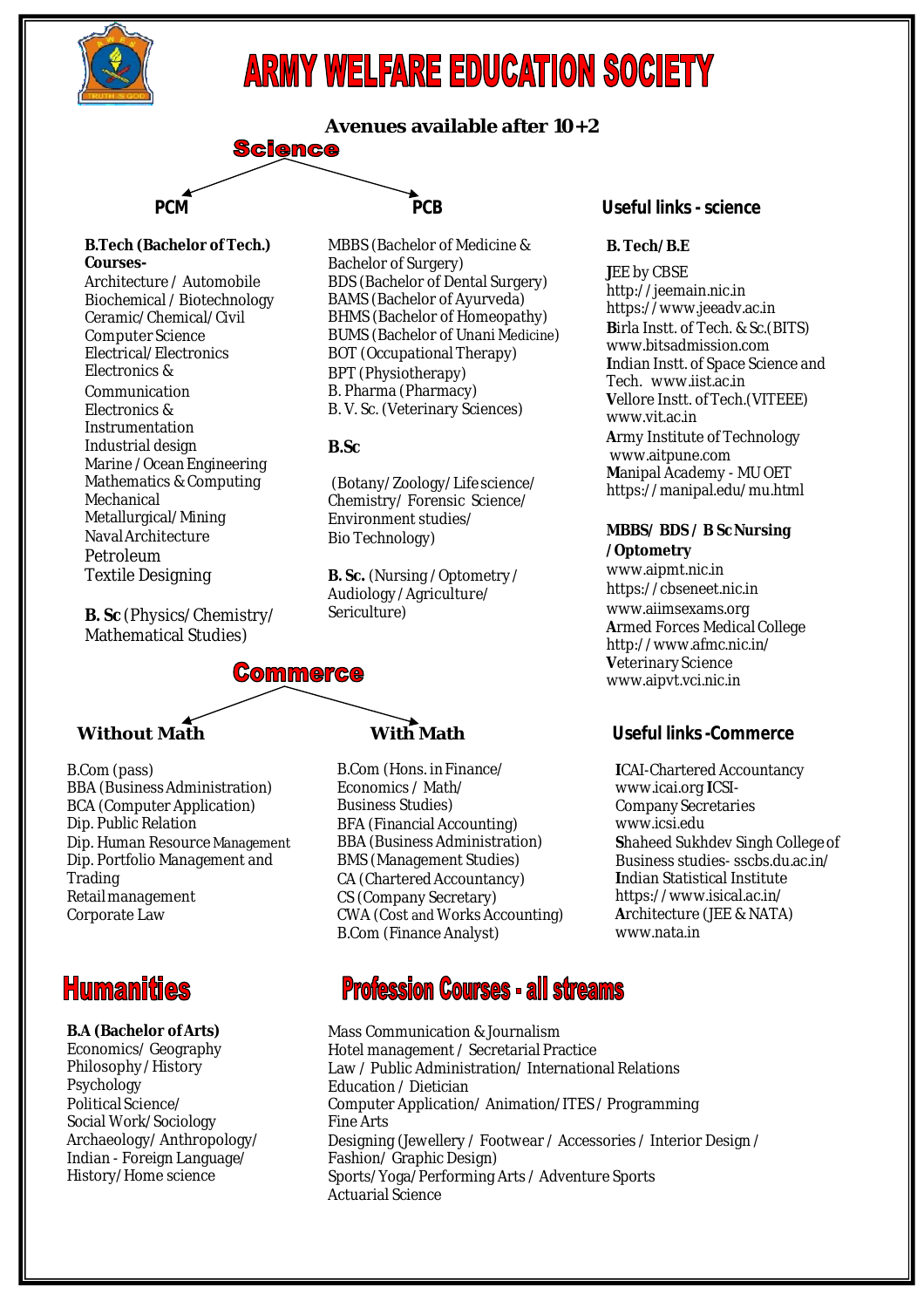

# **ARMY WELFARE EDUCATION SOCIETY**

**Avenues available after 10+2 Science** 

#### **B.Tech (Bachelor of Tech.) Courses-**

Architecture / Automobile Biochemical /Biotechnology Ceramic/Chemical/Civil Computer Science Electrical/Electronics Electronics & Communication Electronics & Instrumentation Industrial design Marine / Ocean Engineering Mathematics & Computing Mechanical Metallurgical/Mining NavalArchitecture Petroleum Textile Designing

**B. Sc** (Physics/Chemistry/ Mathematical Studies)

B.Com (pass) BBA (BusinessAdministration) BCA (Computer Application) Dip. Public Relation Dip. Human Resource Management Dip. Portfolio Management and Retailmanagement

**Commerce** 

Corporate Law

## **Humanities**

**Trading** 

#### **B.A (Bachelor ofArts)** Economics/ Geography Philosophy/History Psychology PoliticalScience/ Social Work/Sociology Archaeology/Anthropology/ Indian - Foreign Language/ History/Home science

Mass Communication & Journalism Hotel management / Secretarial Practice Law / Public Administration/ International Relations Education / Dietician Computer Application/ Animation/ITES / Programming Fine Arts Designing (Jewellery / Footwear / Accessories / Interior Design / Fashion/ Graphic Design) Sports/Yoga/Performing Arts / Adventure Sports Actuarial Science

B.Com (Hons. inFinance/ Economics / Math/ Business Studies) BFA (Financial Accounting) BBA (Business Administration) BMS (Management Studies) CA (Chartered Accountancy) CS (Company Secretary) CWA (Cost and Works Accounting) B.Com (Finance Analyst)

**Profession Courses - all streams** 

## **PCM PCB Useful links -science**

### **B. Tech/B.E**

**J**EE by CBSE http://jeemain.nic.in https://www.jeeadv.ac.in **B**irla Instt. of Tech. & Sc.(BITS) www.bitsadmission.com **I**ndian Instt. of Space Science and Tech. www.iist.ac.in **V**ellore Instt. of Tech.(VITEEE) www.vit.ac.in **A**rmy Institute of Technology www.aitpune.com **M**anipal Academy - MU OET https://manipal.edu/mu.html

### **MBBS/ BDS / B ScNursing /Optometry**

www.aipmt.nic.in https://cbseneet.nic.in www.aiimsexams.org **Armed Forces Medical College** http://www.afmc.nic.in/ **V**eterinaryScience www.aipvt.vci.nic.in

## **Without Math With Math Useful links-Commerce**

**I**CAI-Chartered Accountancy www.icai.org **I**CSI-CompanySecretaries www.icsi.edu **Shaheed Sukhdev Singh College of** Business studies- sscbs.du.ac.in/ **I**ndian Statistical Institute https://www.isical.ac.in/ **A**rchitecture (JEE & NATA) www.nata.in

Bachelor of Surgery)

BPT (Physiotherapy) B. Pharma (Pharmacy) B. V. Sc. (Veterinary Sciences)

Environment studies/ Bio Technology)

Sericulture)

**B.Sc**

MBBS (Bachelor of Medicine &

BDS (Bachelor of Dental Surgery) BAMS (Bachelor of Ayurveda) BHMS (Bachelor of Homeopathy) BUMS (Bachelor of Unani Medicine) BOT (Occupational Therapy)

(Botany/Zoology/Lifescience/ Chemistry/ Forensic Science/

**B. Sc.** (Nursing /Optometry / Audiology /Agriculture/